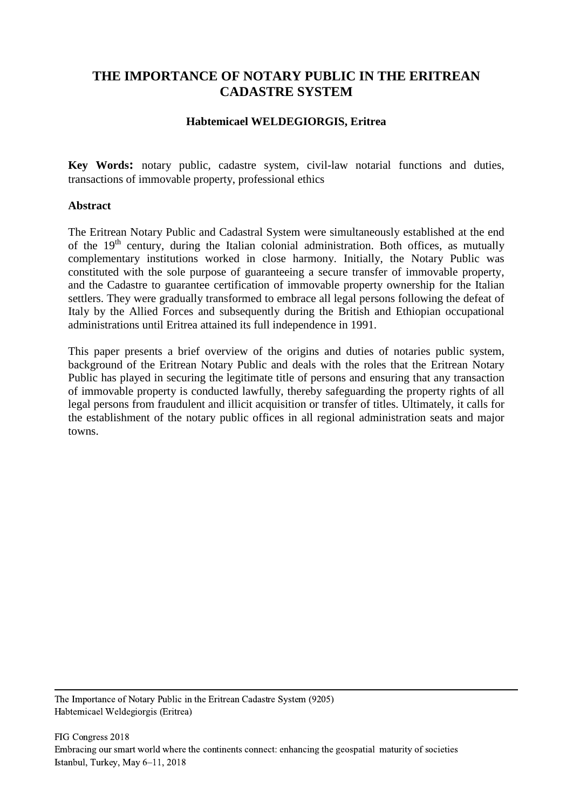# **THE IMPORTANCE OF NOTARY PUBLIC IN THE ERITREAN CADASTRE SYSTEM**

#### **Habtemicael WELDEGIORGIS, Eritrea**

**Key Words:** notary public, cadastre system, civil-law notarial functions and duties, transactions of immovable property, professional ethics

#### **Abstract**

The Eritrean Notary Public and Cadastral System were simultaneously established at the end of the  $19<sup>th</sup>$  century, during the Italian colonial administration. Both offices, as mutually complementary institutions worked in close harmony. Initially, the Notary Public was constituted with the sole purpose of guaranteeing a secure transfer of immovable property, and the Cadastre to guarantee certification of immovable property ownership for the Italian settlers. They were gradually transformed to embrace all legal persons following the defeat of Italy by the Allied Forces and subsequently during the British and Ethiopian occupational administrations until Eritrea attained its full independence in 1991.

This paper presents a brief overview of the origins and duties of notaries public system, background of the Eritrean Notary Public and deals with the roles that the Eritrean Notary Public has played in securing the legitimate title of persons and ensuring that any transaction of immovable property is conducted lawfully, thereby safeguarding the property rights of all legal persons from fraudulent and illicit acquisition or transfer of titles. Ultimately, it calls for the establishment of the notary public offices in all regional administration seats and major towns.

The Importance of Notary Public in the Eritrean Cadastre System (9205) Habtemicael Weldegiorgis (Eritrea)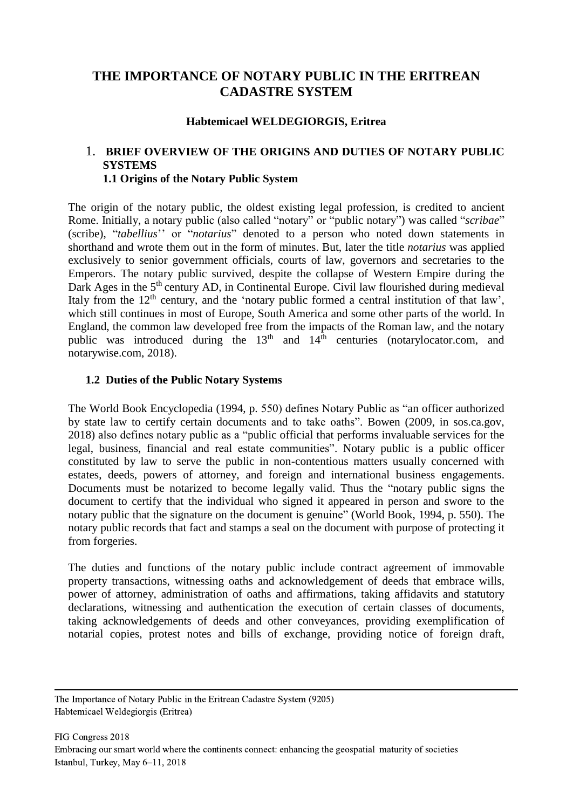# **THE IMPORTANCE OF NOTARY PUBLIC IN THE ERITREAN CADASTRE SYSTEM**

#### **Habtemicael WELDEGIORGIS, Eritrea**

### 1. **BRIEF OVERVIEW OF THE ORIGINS AND DUTIES OF NOTARY PUBLIC SYSTEMS 1.1 Origins of the Notary Public System**

The origin of the notary public, the oldest existing legal profession, is credited to ancient Rome. Initially, a notary public (also called "notary" or "public notary") was called "*scribae*" (scribe), "*tabellius*'' or "*notarius*" denoted to a person who noted down statements in shorthand and wrote them out in the form of minutes. But, later the title *notarius* was applied exclusively to senior government officials, courts of law, governors and secretaries to the Emperors. The notary public survived, despite the collapse of Western Empire during the Dark Ages in the  $5<sup>th</sup>$  century AD, in Continental Europe. Civil law flourished during medieval Italy from the  $12<sup>th</sup>$  century, and the 'notary public formed a central institution of that law', which still continues in most of Europe, South America and some other parts of the world. In England, the common law developed free from the impacts of the Roman law, and the notary public was introduced during the  $13<sup>th</sup>$  and  $14<sup>th</sup>$  centuries (notarylocator.com, and notarywise.com, 2018).

#### **1.2 Duties of the Public Notary Systems**

The World Book Encyclopedia (1994, p. 550) defines Notary Public as "an officer authorized by state law to certify certain documents and to take oaths". Bowen (2009, in sos.ca.gov, 2018) also defines notary public as a "public official that performs invaluable services for the legal, business, financial and real estate communities". Notary public is a public officer constituted by law to serve the public in non-contentious matters usually concerned with estates, deeds, powers of attorney, and foreign and international business engagements. Documents must be notarized to become legally valid. Thus the "notary public signs the document to certify that the individual who signed it appeared in person and swore to the notary public that the signature on the document is genuine" (World Book, 1994, p. 550). The notary public records that fact and stamps a seal on the document with purpose of protecting it from forgeries.

The duties and functions of the notary public include contract agreement of immovable property transactions, witnessing oaths and acknowledgement of deeds that embrace wills, power of attorney, administration of oaths and affirmations, taking affidavits and statutory declarations, witnessing and authentication the execution of certain classes of documents, taking acknowledgements of deeds and other conveyances, providing exemplification of notarial copies, protest notes and bills of exchange, providing notice of foreign draft,

The Importance of Notary Public in the Eritrean Cadastre System (9205) Habtemicael Weldegiorgis (Eritrea)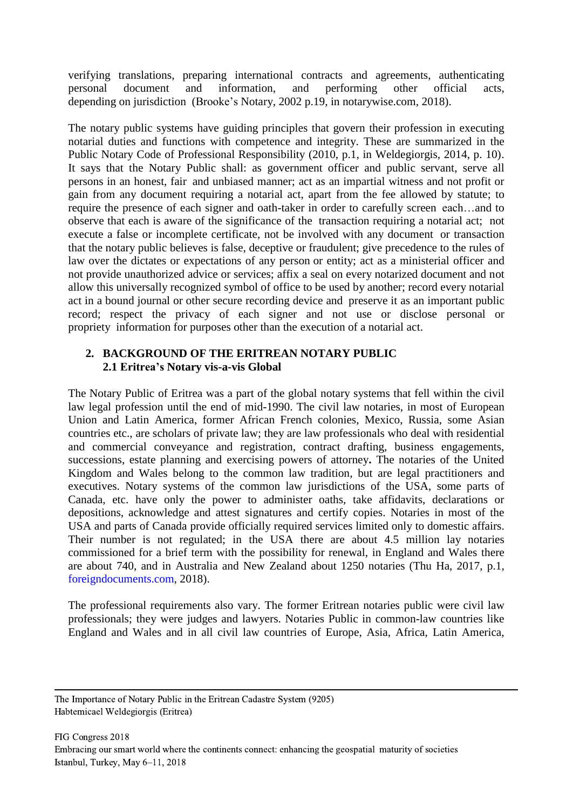verifying translations, preparing international contracts and agreements, authenticating personal document and information, and performing other official acts, depending on jurisdiction (Brooke's Notary, 2002 p.19, in notarywise.com, 2018).

The notary public systems have guiding principles that govern their profession in executing notarial duties and functions with competence and integrity. These are summarized in the Public Notary Code of Professional Responsibility (2010, p.1, in Weldegiorgis, 2014, p. 10). It says that the Notary Public shall: as government officer and public servant, serve all persons in an honest, fair and unbiased manner; act as an impartial witness and not profit or gain from any document requiring a notarial act, apart from the fee allowed by statute; to require the presence of each signer and oath-taker in order to carefully screen each…and to observe that each is aware of the significance of the transaction requiring a notarial act; not execute a false or incomplete certificate, not be involved with any document or transaction that the notary public believes is false, deceptive or fraudulent; give precedence to the rules of law over the dictates or expectations of any person or entity; act as a ministerial officer and not provide unauthorized advice or services; affix a seal on every notarized document and not allow this universally recognized symbol of office to be used by another; record every notarial act in a bound journal or other secure recording device and preserve it as an important public record; respect the privacy of each signer and not use or disclose personal or propriety information for purposes other than the execution of a notarial act.

### **2. BACKGROUND OF THE ERITREAN NOTARY PUBLIC 2.1 Eritrea's Notary vis-a-vis Global**

The Notary Public of Eritrea was a part of the global notary systems that fell within the civil law legal profession until the end of mid-1990. The civil law notaries, in most of European Union and Latin America, former African French colonies, Mexico, Russia, some Asian countries etc., are scholars of private law; they are law professionals who deal with residential and commercial conveyance and registration, contract drafting, business engagements, successions, estate planning and exercising powers of attorney**.** The notaries of the United Kingdom and Wales belong to the common law tradition, but are legal practitioners and executives. Notary systems of the common law jurisdictions of the USA, some parts of Canada, etc. have only the power to administer oaths, take affidavits, declarations or depositions, acknowledge and attest signatures and certify copies. Notaries in most of the USA and parts of Canada provide officially required services limited only to domestic affairs. Their number is not regulated; in the USA there are about 4.5 million lay notaries commissioned for a brief term with the possibility for renewal, in England and Wales there are about 740, and in Australia and New Zealand about 1250 notaries (Thu Ha, 2017, p.1, [foreigndocuments.com,](http://www.foreigndocuments.com/notarizations_en.html) 2018).

The professional requirements also vary. The former Eritrean notaries public were civil law professionals; they were judges and lawyers. Notaries Public in common-law countries like England and Wales and in all civil law countries of Europe, Asia, Africa, Latin America,

The Importance of Notary Public in the Eritrean Cadastre System (9205) Habtemicael Weldegiorgis (Eritrea)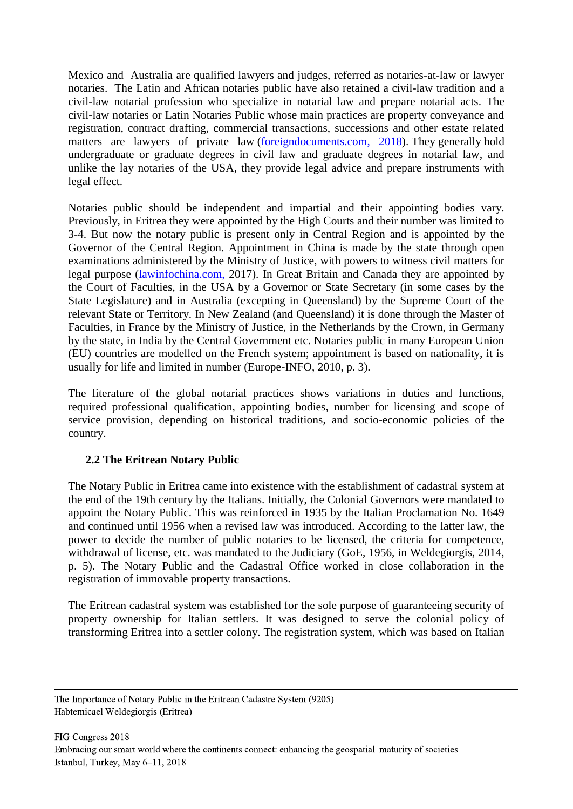Mexico and Australia are qualified lawyers and judges, referred as notaries-at-law or lawyer notaries. The Latin and African notaries public have also retained a civil-law tradition and a civil-law notarial profession who specialize in notarial law and prepare notarial acts. The civil-law notaries or Latin Notaries Public whose main practices are property conveyance and registration, contract drafting, commercial transactions, successions and other estate related matters are lawyers of private law [\(foreigndocuments.com, 2018\)](http://www.foreigndocuments.com/notarizations_en.html). They generally hold undergraduate or graduate degrees in civil law and graduate degrees in notarial law, and unlike the lay notaries of the USA, they provide legal advice and prepare instruments with legal effect.

Notaries public should be independent and impartial and their appointing bodies vary. Previously, in Eritrea they were appointed by the High Courts and their number was limited to 3-4. But now the notary public is present only in Central Region and is appointed by the Governor of the Central Region. Appointment in China is made by the state through open examinations administered by the Ministry of Justice, with powers to witness civil matters for legal purpose [\(lawinfochina.com,](http://www.lawinfochina.com/legal/display-8asp) 2017). In Great Britain and Canada they are appointed by the Court of Faculties, in the USA by a Governor or State Secretary (in some cases by the State Legislature) and in Australia (excepting in Queensland) by the Supreme Court of the relevant State or Territory. In New Zealand (and Queensland) it is done through the Master of Faculties, in France by the Ministry of Justice, in the Netherlands by the Crown, in Germany by the state, in India by the Central Government etc. Notaries public in many European Union (EU) countries are modelled on the French system; appointment is based on nationality, it is usually for life and limited in number (Europe-INFO, 2010, p. 3).

The literature of the global notarial practices shows variations in duties and functions, required professional qualification, appointing bodies, number for licensing and scope of service provision, depending on historical traditions, and socio-economic policies of the country.

# **2.2 The Eritrean Notary Public**

The Notary Public in Eritrea came into existence with the establishment of cadastral system at the end of the 19th century by the Italians. Initially, the Colonial Governors were mandated to appoint the Notary Public. This was reinforced in 1935 by the Italian Proclamation No. 1649 and continued until 1956 when a revised law was introduced. According to the latter law, the power to decide the number of public notaries to be licensed, the criteria for competence, withdrawal of license, etc. was mandated to the Judiciary (GoE, 1956, in Weldegiorgis, 2014, p. 5). The Notary Public and the Cadastral Office worked in close collaboration in the registration of immovable property transactions.

The Eritrean cadastral system was established for the sole purpose of guaranteeing security of property ownership for Italian settlers. It was designed to serve the colonial policy of transforming Eritrea into a settler colony. The registration system, which was based on Italian

The Importance of Notary Public in the Eritrean Cadastre System (9205) Habtemicael Weldegiorgis (Eritrea)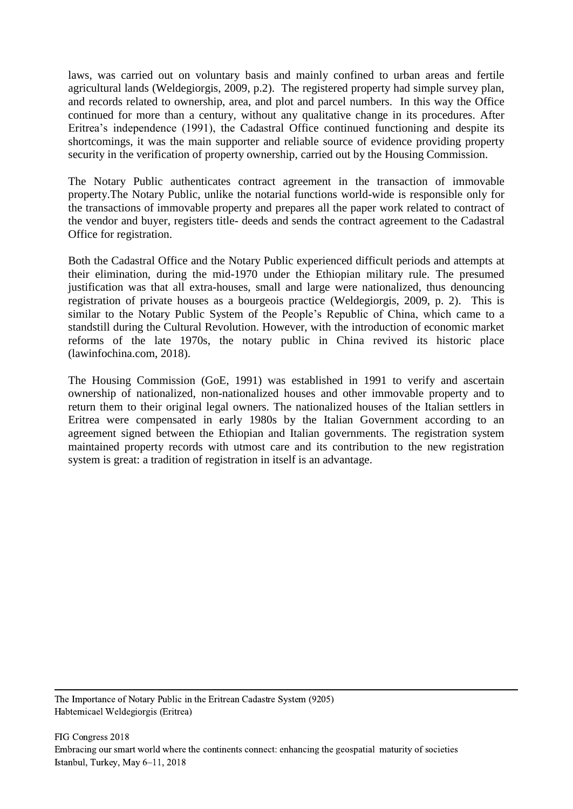laws, was carried out on voluntary basis and mainly confined to urban areas and fertile agricultural lands (Weldegiorgis, 2009, p.2). The registered property had simple survey plan, and records related to ownership, area, and plot and parcel numbers. In this way the Office continued for more than a century, without any qualitative change in its procedures. After Eritrea's independence (1991), the Cadastral Office continued functioning and despite its shortcomings, it was the main supporter and reliable source of evidence providing property security in the verification of property ownership, carried out by the Housing Commission.

The Notary Public authenticates contract agreement in the transaction of immovable property.The Notary Public, unlike the notarial functions world-wide is responsible only for the transactions of immovable property and prepares all the paper work related to contract of the vendor and buyer, registers title- deeds and sends the contract agreement to the Cadastral Office for registration.

Both the Cadastral Office and the Notary Public experienced difficult periods and attempts at their elimination, during the mid-1970 under the Ethiopian military rule. The presumed justification was that all extra-houses, small and large were nationalized, thus denouncing registration of private houses as a bourgeois practice (Weldegiorgis, 2009, p. 2). This is similar to the Notary Public System of the People's Republic of China, which came to a standstill during the Cultural Revolution. However, with the introduction of economic market reforms of the late 1970s, the notary public in China revived its historic place (lawinfochina.com, 2018).

The Housing Commission (GoE, 1991) was established in 1991 to verify and ascertain ownership of nationalized, non-nationalized houses and other immovable property and to return them to their original legal owners. The nationalized houses of the Italian settlers in Eritrea were compensated in early 1980s by the Italian Government according to an agreement signed between the Ethiopian and Italian governments. The registration system maintained property records with utmost care and its contribution to the new registration system is great: a tradition of registration in itself is an advantage.

The Importance of Notary Public in the Eritrean Cadastre System (9205) Habtemicael Weldegiorgis (Eritrea)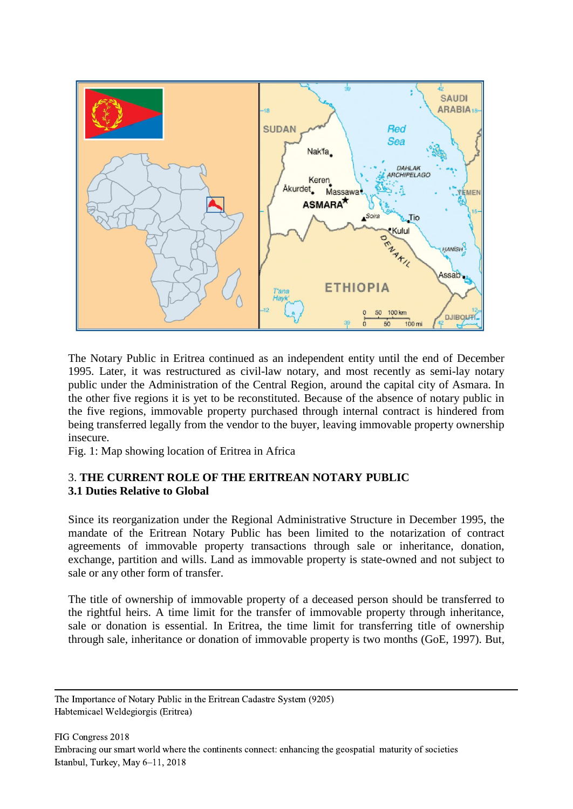

The Notary Public in Eritrea continued as an independent entity until the end of December 1995. Later, it was restructured as civil-law notary, and most recently as semi-lay notary public under the Administration of the Central Region, around the capital city of Asmara. In the other five regions it is yet to be reconstituted. Because of the absence of notary public in the five regions, immovable property purchased through internal contract is hindered from being transferred legally from the vendor to the buyer, leaving immovable property ownership insecure.

Fig. 1: Map showing location of Eritrea in Africa

## 3. **THE CURRENT ROLE OF THE ERITREAN NOTARY PUBLIC 3.1 Duties Relative to Global**

Since its reorganization under the Regional Administrative Structure in December 1995, the mandate of the Eritrean Notary Public has been limited to the notarization of contract agreements of immovable property transactions through sale or inheritance, donation, exchange, partition and wills. Land as immovable property is state-owned and not subject to sale or any other form of transfer.

The title of ownership of immovable property of a deceased person should be transferred to the rightful heirs. A time limit for the transfer of immovable property through inheritance, sale or donation is essential. In Eritrea, the time limit for transferring title of ownership through sale, inheritance or donation of immovable property is two months (GoE, 1997). But,

The Importance of Notary Public in the Eritrean Cadastre System (9205) Habtemicael Weldegiorgis (Eritrea)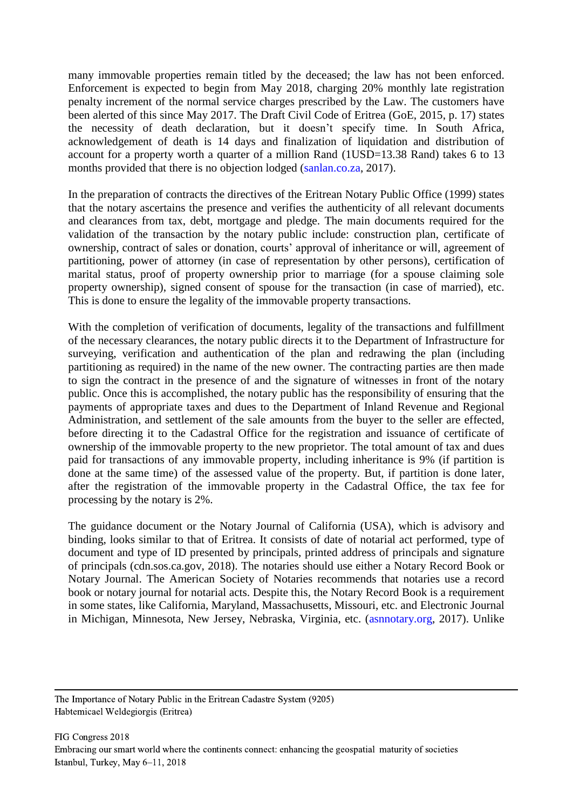many immovable properties remain titled by the deceased; the law has not been enforced. Enforcement is expected to begin from May 2018, charging 20% monthly late registration penalty increment of the normal service charges prescribed by the Law. The customers have been alerted of this since May 2017. The Draft Civil Code of Eritrea (GoE, 2015, p. 17) states the necessity of death declaration, but it doesn't specify time. In South Africa, acknowledgement of death is 14 days and finalization of liquidation and distribution of account for a property worth a quarter of a million Rand (1USD=13.38 Rand) takes 6 to 13 months provided that there is no objection lodged [\(sanlan.co.za,](https://www.sanlan.co.za/personal/financialplanning/willstrustsestates/pages/estate-administration.aspx) 2017).

In the preparation of contracts the directives of the Eritrean Notary Public Office (1999) states that the notary ascertains the presence and verifies the authenticity of all relevant documents and clearances from tax, debt, mortgage and pledge. The main documents required for the validation of the transaction by the notary public include: construction plan, certificate of ownership, contract of sales or donation, courts' approval of inheritance or will, agreement of partitioning, power of attorney (in case of representation by other persons), certification of marital status, proof of property ownership prior to marriage (for a spouse claiming sole property ownership), signed consent of spouse for the transaction (in case of married), etc. This is done to ensure the legality of the immovable property transactions.

With the completion of verification of documents, legality of the transactions and fulfillment of the necessary clearances, the notary public directs it to the Department of Infrastructure for surveying, verification and authentication of the plan and redrawing the plan (including partitioning as required) in the name of the new owner. The contracting parties are then made to sign the contract in the presence of and the signature of witnesses in front of the notary public. Once this is accomplished, the notary public has the responsibility of ensuring that the payments of appropriate taxes and dues to the Department of Inland Revenue and Regional Administration, and settlement of the sale amounts from the buyer to the seller are effected, before directing it to the Cadastral Office for the registration and issuance of certificate of ownership of the immovable property to the new proprietor. The total amount of tax and dues paid for transactions of any immovable property, including inheritance is 9% (if partition is done at the same time) of the assessed value of the property. But, if partition is done later, after the registration of the immovable property in the Cadastral Office, the tax fee for processing by the notary is 2%.

The guidance document or the Notary Journal of California (USA), which is advisory and binding, looks similar to that of Eritrea. It consists of date of notarial act performed, type of document and type of ID presented by principals, printed address of principals and signature of principals (cdn.sos.ca.gov, 2018). The notaries should use either a Notary Record Book or Notary Journal. The American Society of Notaries recommends that notaries use a record book or notary journal for notarial acts. Despite this, the Notary Record Book is a requirement in some states, like California, Maryland, Massachusetts, Missouri, etc. and Electronic Journal in Michigan, Minnesota, New Jersey, Nebraska, Virginia, etc. [\(asnnotary.org,](https://www.asnnotary.org/?form=rbkrequirements) 2017). Unlike

The Importance of Notary Public in the Eritrean Cadastre System (9205) Habtemicael Weldegiorgis (Eritrea)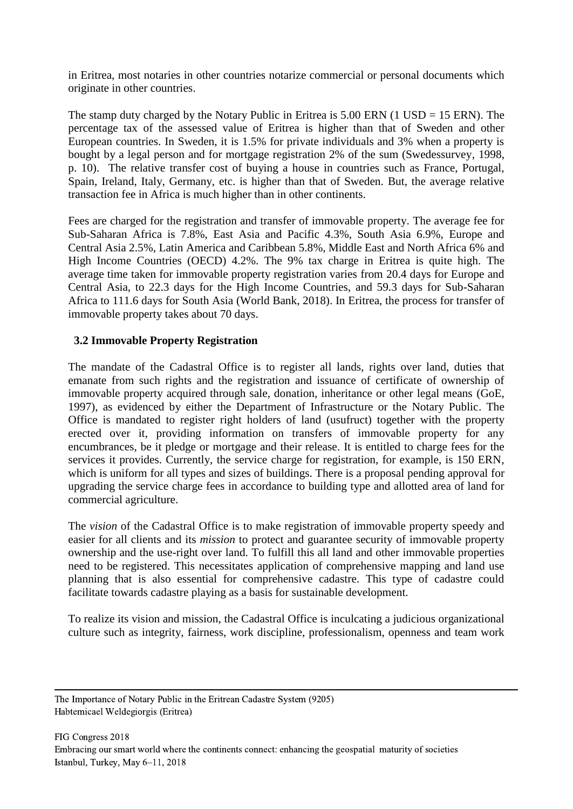in Eritrea, most notaries in other countries notarize commercial or personal documents which originate in other countries.

The stamp duty charged by the Notary Public in Eritrea is  $5.00$  ERN (1 USD = 15 ERN). The percentage tax of the assessed value of Eritrea is higher than that of Sweden and other European countries. In Sweden, it is 1.5% for private individuals and 3% when a property is bought by a legal person and for mortgage registration 2% of the sum (Swedessurvey, 1998, p. 10). The relative transfer cost of buying a house in countries such as France, Portugal, Spain, Ireland, Italy, Germany, etc. is higher than that of Sweden. But, the average relative transaction fee in Africa is much higher than in other continents.

Fees are charged for the registration and transfer of immovable property. The average fee for Sub-Saharan Africa is 7.8%, East Asia and Pacific 4.3%, South Asia 6.9%, Europe and Central Asia 2.5%, Latin America and Caribbean 5.8%, Middle East and North Africa 6% and High Income Countries (OECD) 4.2%. The 9% tax charge in Eritrea is quite high. The average time taken for immovable property registration varies from 20.4 days for Europe and Central Asia, to 22.3 days for the High Income Countries, and 59.3 days for Sub-Saharan Africa to 111.6 days for South Asia (World Bank, 2018). In Eritrea, the process for transfer of immovable property takes about 70 days.

## **3.2 Immovable Property Registration**

The mandate of the Cadastral Office is to register all lands, rights over land, duties that emanate from such rights and the registration and issuance of certificate of ownership of immovable property acquired through sale, donation, inheritance or other legal means (GoE, 1997), as evidenced by either the Department of Infrastructure or the Notary Public. The Office is mandated to register right holders of land (usufruct) together with the property erected over it, providing information on transfers of immovable property for any encumbrances, be it pledge or mortgage and their release. It is entitled to charge fees for the services it provides. Currently, the service charge for registration, for example, is 150 ERN, which is uniform for all types and sizes of buildings. There is a proposal pending approval for upgrading the service charge fees in accordance to building type and allotted area of land for commercial agriculture.

The *vision* of the Cadastral Office is to make registration of immovable property speedy and easier for all clients and its *mission* to protect and guarantee security of immovable property ownership and the use-right over land. To fulfill this all land and other immovable properties need to be registered. This necessitates application of comprehensive mapping and land use planning that is also essential for comprehensive cadastre. This type of cadastre could facilitate towards cadastre playing as a basis for sustainable development.

To realize its vision and mission, the Cadastral Office is inculcating a judicious organizational culture such as integrity, fairness, work discipline, professionalism, openness and team work

The Importance of Notary Public in the Eritrean Cadastre System (9205) Habtemicael Weldegiorgis (Eritrea)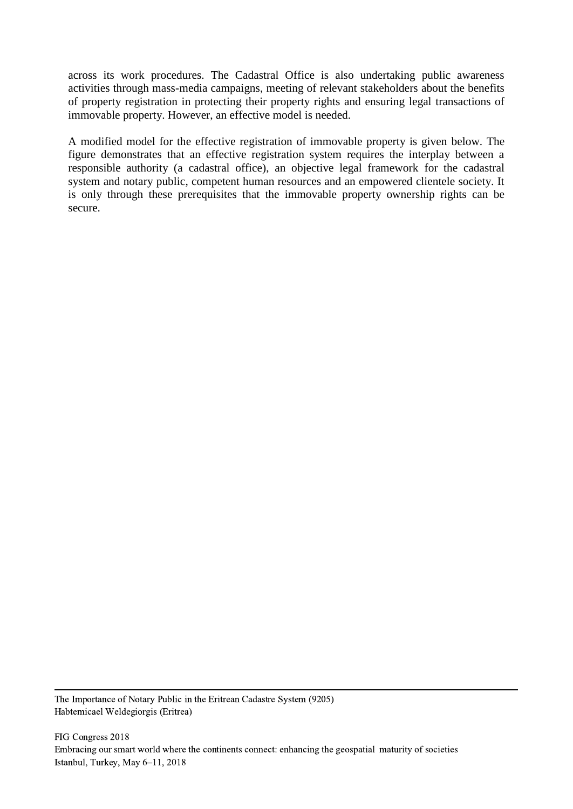across its work procedures. The Cadastral Office is also undertaking public awareness activities through mass-media campaigns, meeting of relevant stakeholders about the benefits of property registration in protecting their property rights and ensuring legal transactions of immovable property. However, an effective model is needed.

A modified model for the effective registration of immovable property is given below. The figure demonstrates that an effective registration system requires the interplay between a responsible authority (a cadastral office), an objective legal framework for the cadastral system and notary public, competent human resources and an empowered clientele society. It is only through these prerequisites that the immovable property ownership rights can be secure.

The Importance of Notary Public in the Eritrean Cadastre System (9205) Habtemicael Weldegiorgis (Eritrea)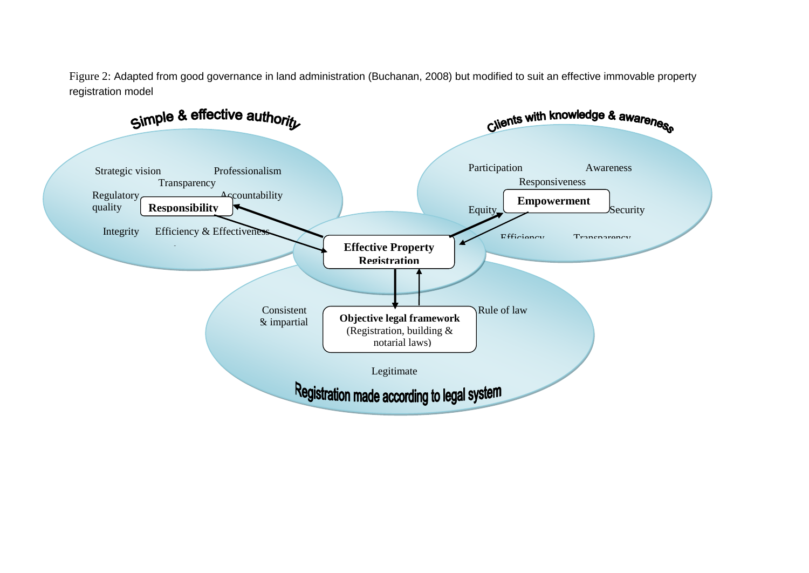Figure 2: Adapted from good governance in land administration (Buchanan, 2008) but modified to suit an effective immovable property registration model

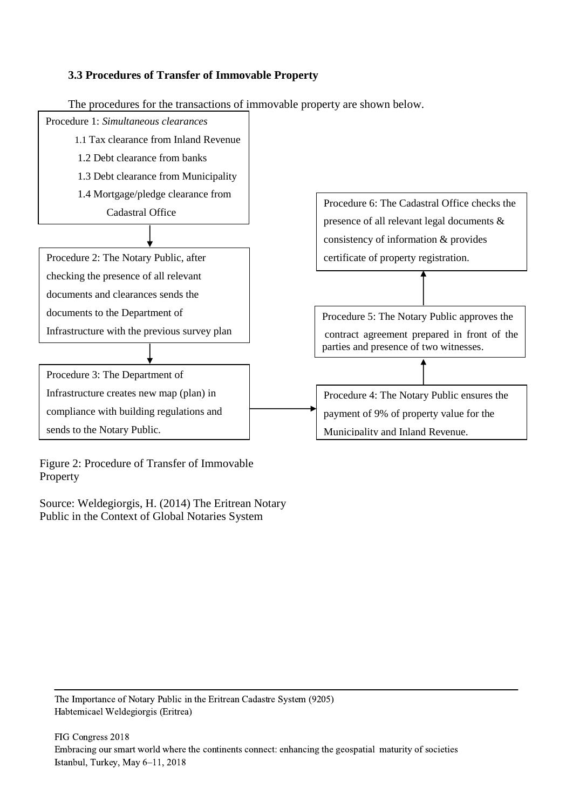## **3.3 Procedures of Transfer of Immovable Property**



The procedures for the transactions of immovable property are shown below.

Figure 2: Procedure of Transfer of Immovable Property

Source: Weldegiorgis, H. (2014) The Eritrean Notary Public in the Context of Global Notaries System

The Importance of Notary Public in the Eritrean Cadastre System (9205) Habtemicael Weldegiorgis (Eritrea)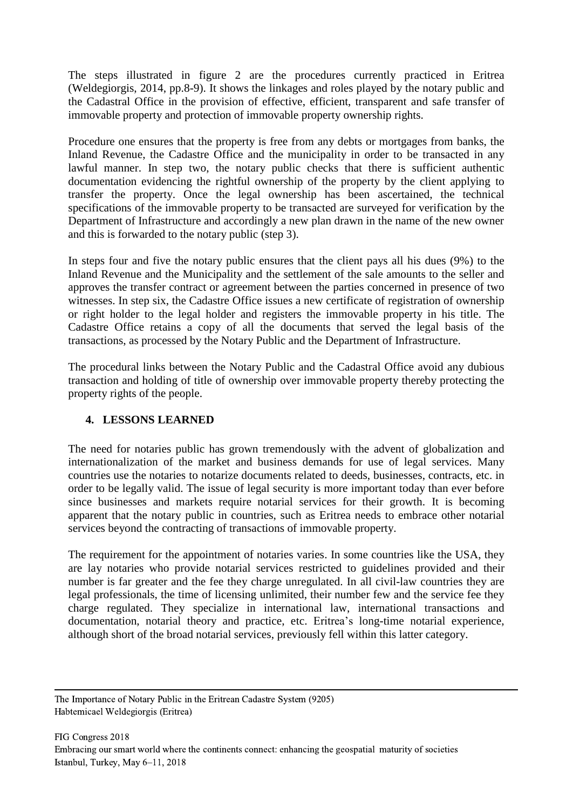The steps illustrated in figure 2 are the procedures currently practiced in Eritrea (Weldegiorgis, 2014, pp.8-9). It shows the linkages and roles played by the notary public and the Cadastral Office in the provision of effective, efficient, transparent and safe transfer of immovable property and protection of immovable property ownership rights.

Procedure one ensures that the property is free from any debts or mortgages from banks, the Inland Revenue, the Cadastre Office and the municipality in order to be transacted in any lawful manner. In step two, the notary public checks that there is sufficient authentic documentation evidencing the rightful ownership of the property by the client applying to transfer the property. Once the legal ownership has been ascertained, the technical specifications of the immovable property to be transacted are surveyed for verification by the Department of Infrastructure and accordingly a new plan drawn in the name of the new owner and this is forwarded to the notary public (step 3).

In steps four and five the notary public ensures that the client pays all his dues (9%) to the Inland Revenue and the Municipality and the settlement of the sale amounts to the seller and approves the transfer contract or agreement between the parties concerned in presence of two witnesses. In step six, the Cadastre Office issues a new certificate of registration of ownership or right holder to the legal holder and registers the immovable property in his title. The Cadastre Office retains a copy of all the documents that served the legal basis of the transactions, as processed by the Notary Public and the Department of Infrastructure.

The procedural links between the Notary Public and the Cadastral Office avoid any dubious transaction and holding of title of ownership over immovable property thereby protecting the property rights of the people.

#### **4. LESSONS LEARNED**

The need for notaries public has grown tremendously with the advent of globalization and internationalization of the market and business demands for use of legal services. Many countries use the notaries to notarize documents related to deeds, businesses, contracts, etc. in order to be legally valid. The issue of legal security is more important today than ever before since businesses and markets require notarial services for their growth. It is becoming apparent that the notary public in countries, such as Eritrea needs to embrace other notarial services beyond the contracting of transactions of immovable property.

The requirement for the appointment of notaries varies. In some countries like the USA, they are lay notaries who provide notarial services restricted to guidelines provided and their number is far greater and the fee they charge unregulated. In all civil-law countries they are legal professionals, the time of licensing unlimited, their number few and the service fee they charge regulated. They specialize in international law, international transactions and documentation, notarial theory and practice, etc. Eritrea's long-time notarial experience, although short of the broad notarial services, previously fell within this latter category.

The Importance of Notary Public in the Eritrean Cadastre System (9205) Habtemicael Weldegiorgis (Eritrea)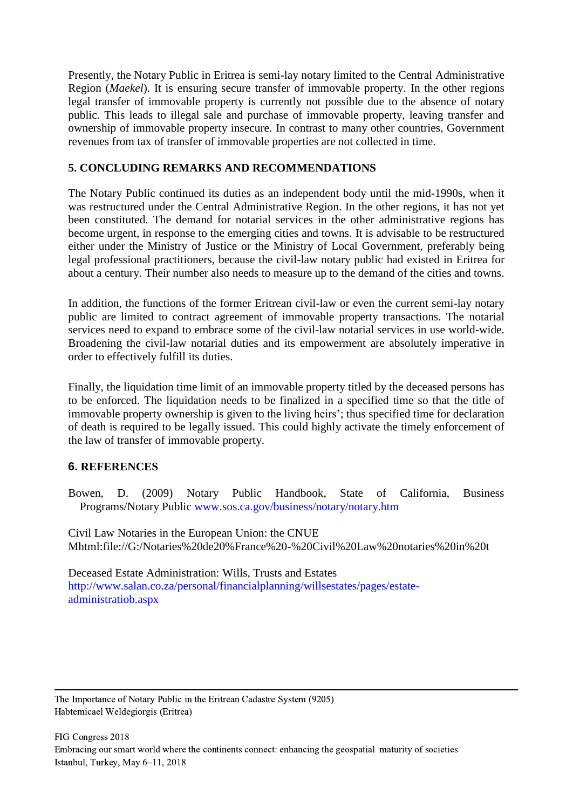Presently, the Notary Public in Eritrea is semi-lay notary limited to the Central Administrative Region (*Maekel*). It is ensuring secure transfer of immovable property. In the other regions legal transfer of immovable property is currently not possible due to the absence of notary public. This leads to illegal sale and purchase of immovable property, leaving transfer and ownership of immovable property insecure. In contrast to many other countries, Government revenues from tax of transfer of immovable properties are not collected in time.

## **5. CONCLUDING REMARKS AND RECOMMENDATIONS**

The Notary Public continued its duties as an independent body until the mid-1990s, when it was restructured under the Central Administrative Region. In the other regions, it has not yet been constituted. The demand for notarial services in the other administrative regions has become urgent, in response to the emerging cities and towns. It is advisable to be restructured either under the Ministry of Justice or the Ministry of Local Government, preferably being legal professional practitioners, because the civil-law notary public had existed in Eritrea for about a century. Their number also needs to measure up to the demand of the cities and towns.

In addition, the functions of the former Eritrean civil-law or even the current semi-lay notary public are limited to contract agreement of immovable property transactions. The notarial services need to expand to embrace some of the civil-law notarial services in use world-wide. Broadening the civil-law notarial duties and its empowerment are absolutely imperative in order to effectively fulfill its duties.

Finally, the liquidation time limit of an immovable property titled by the deceased persons has to be enforced. The liquidation needs to be finalized in a specified time so that the title of immovable property ownership is given to the living heirs'; thus specified time for declaration of death is required to be legally issued. This could highly activate the timely enforcement of the law of transfer of immovable property.

# **6. REFERENCES**

Bowen, D. (2009) Notary Public Handbook, State of California, Business Programs/Notary Public [www.sos.ca.gov/business/notary/notary.htm](http://www.sos.ca.gov/business/notary/notary.htm)

Civil Law Notaries in the European Union: the CNUE Mhtml:file://G:/Notaries%20de20%France%20-%20Civil%20Law%20notaries%20in%20t

Deceased Estate Administration: Wills, Trusts and Estates [http://www.salan.co.za/personal/financialplanning/willsestates/pages/estate](http://www.salan.co.za/personal/financialplanning/willsestates/pages/estate-administratiob.aspx)[administratiob.aspx](http://www.salan.co.za/personal/financialplanning/willsestates/pages/estate-administratiob.aspx)

The Importance of Notary Public in the Eritrean Cadastre System (9205) Habtemicael Weldegiorgis (Eritrea)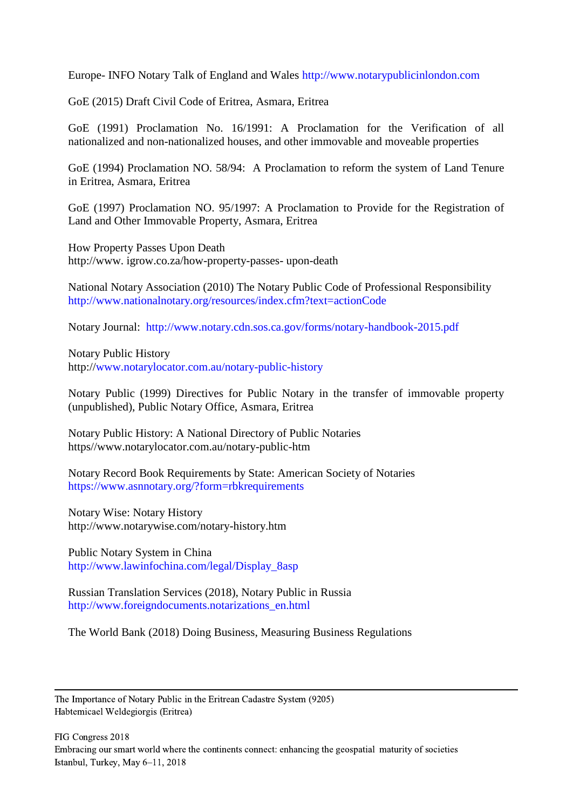Europe- INFO Notary Talk of England and Wales [http://www.notarypublicinlondon.com](http://www.notarypublicinlondon.com/)

GoE (2015) Draft Civil Code of Eritrea, Asmara, Eritrea

GoE (1991) Proclamation No. 16/1991: A Proclamation for the Verification of all nationalized and non-nationalized houses, and other immovable and moveable properties

GoE (1994) Proclamation NO. 58/94: A Proclamation to reform the system of Land Tenure in Eritrea, Asmara, Eritrea

GoE (1997) Proclamation NO. 95/1997: A Proclamation to Provide for the Registration of Land and Other Immovable Property, Asmara, Eritrea

How Property Passes Upon Death http://www. igrow.co.za/how-property-passes- upon-death

National Notary Association (2010) The Notary Public Code of Professional Responsibility <http://www.nationalnotary.org/resources/index.cfm?text=actionCode>

Notary Journal: <http://www.notary.cdn.sos.ca.gov/forms/notary-handbook-2015.pdf>

Notary Public History http:/[/www.notarylocator.com.au/notary-public-history](http://www.notarylocator.com.au/notary-public-history)

Notary Public (1999) Directives for Public Notary in the transfer of immovable property (unpublished), Public Notary Office, Asmara, Eritrea

Notary Public History: A National Directory of Public Notaries https//www.notarylocator.com.au/notary-public-htm

Notary Record Book Requirements by State: American Society of Notaries <https://www.asnnotary.org/?form=rbkrequirements>

Notary Wise: Notary History http://www.notarywise.com/notary-history.htm

Public Notary System in China [http://www.lawinfochina.com/legal/Display\\_8asp](http://www.lawinfochina.com/legal/Display_8asp)

Russian Translation Services (2018), Notary Public in Russia [http://www.foreigndocuments.notarizations\\_en.html](http://www.foreigndocuments.notarizations_en.html/)

The World Bank (2018) Doing Business, Measuring Business Regulations

The Importance of Notary Public in the Eritrean Cadastre System (9205) Habtemicael Weldegiorgis (Eritrea)